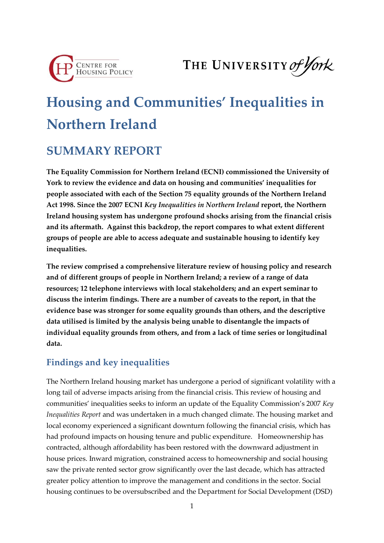

THE UNIVERSITY of York

# **Housing and Communities' Inequalities in Northern Ireland**

## **SUMMARY REPORT**

**The Equality Commission for Northern Ireland (ECNI) commissioned the University of York to review the evidence and data on housing and communities' inequalities for people associated with each of the Section 75 equality grounds of the Northern Ireland Act 1998. Since the 2007 ECNI** *Key Inequalities in Northern Ireland* **report, the Northern Ireland housing system has undergone profound shocks arising from the financial crisis and its aftermath. Against this backdrop, the report compares to what extent different groups of people are able to access adequate and sustainable housing to identify key inequalities.**

**The review comprised a comprehensive literature review of housing policy and research and of different groups of people in Northern Ireland; a review of a range of data resources; 12 telephone interviews with local stakeholders; and an expert seminar to discuss the interim findings. There are a number of caveats to the report, in that the evidence base was stronger for some equality grounds than others, and the descriptive data utilised is limited by the analysis being unable to disentangle the impacts of individual equality grounds from others, and from a lack of time series or longitudinal data.** 

## **Findings and key inequalities**

The Northern Ireland housing market has undergone a period of significant volatility with a long tail of adverse impacts arising from the financial crisis. This review of housing and communities' inequalities seeks to inform an update of the Equality Commission's 2007 *Key Inequalities Report* and was undertaken in a much changed climate. The housing market and local economy experienced a significant downturn following the financial crisis, which has had profound impacts on housing tenure and public expenditure. Homeownership has contracted, although affordability has been restored with the downward adjustment in house prices. Inward migration, constrained access to homeownership and social housing saw the private rented sector grow significantly over the last decade, which has attracted greater policy attention to improve the management and conditions in the sector. Social housing continues to be oversubscribed and the Department for Social Development (DSD)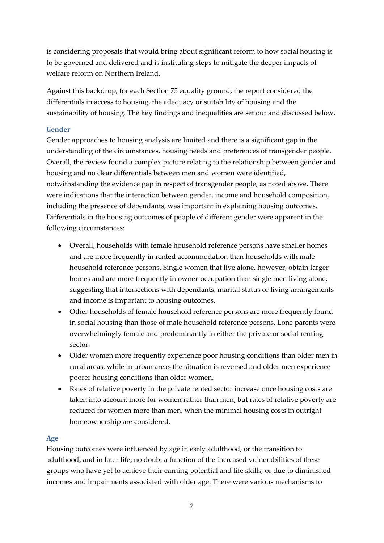is considering proposals that would bring about significant reform to how social housing is to be governed and delivered and is instituting steps to mitigate the deeper impacts of welfare reform on Northern Ireland.

Against this backdrop, for each Section 75 equality ground, the report considered the differentials in access to housing, the adequacy or suitability of housing and the sustainability of housing. The key findings and inequalities are set out and discussed below.

#### **Gender**

Gender approaches to housing analysis are limited and there is a significant gap in the understanding of the circumstances, housing needs and preferences of transgender people. Overall, the review found a complex picture relating to the relationship between gender and housing and no clear differentials between men and women were identified, notwithstanding the evidence gap in respect of transgender people, as noted above. There were indications that the interaction between gender, income and household composition, including the presence of dependants, was important in explaining housing outcomes. Differentials in the housing outcomes of people of different gender were apparent in the following circumstances:

- Overall, households with female household reference persons have smaller homes and are more frequently in rented accommodation than households with male household reference persons. Single women that live alone, however, obtain larger homes and are more frequently in owner-occupation than single men living alone, suggesting that intersections with dependants, marital status or living arrangements and income is important to housing outcomes.
- Other households of female household reference persons are more frequently found in social housing than those of male household reference persons. Lone parents were overwhelmingly female and predominantly in either the private or social renting sector.
- Older women more frequently experience poor housing conditions than older men in rural areas, while in urban areas the situation is reversed and older men experience poorer housing conditions than older women.
- Rates of relative poverty in the private rented sector increase once housing costs are taken into account more for women rather than men; but rates of relative poverty are reduced for women more than men, when the minimal housing costs in outright homeownership are considered.

#### **Age**

Housing outcomes were influenced by age in early adulthood, or the transition to adulthood, and in later life; no doubt a function of the increased vulnerabilities of these groups who have yet to achieve their earning potential and life skills, or due to diminished incomes and impairments associated with older age. There were various mechanisms to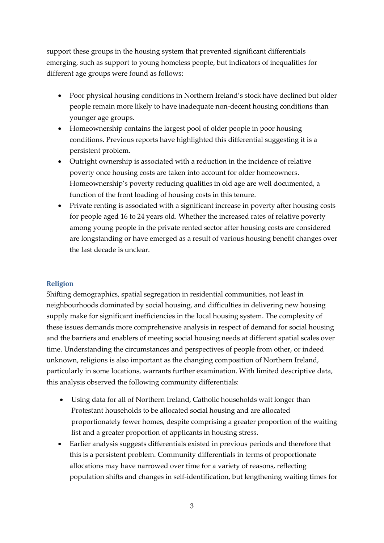support these groups in the housing system that prevented significant differentials emerging, such as support to young homeless people, but indicators of inequalities for different age groups were found as follows:

- Poor physical housing conditions in Northern Ireland's stock have declined but older people remain more likely to have inadequate non-decent housing conditions than younger age groups.
- Homeownership contains the largest pool of older people in poor housing conditions. Previous reports have highlighted this differential suggesting it is a persistent problem.
- Outright ownership is associated with a reduction in the incidence of relative poverty once housing costs are taken into account for older homeowners. Homeownership's poverty reducing qualities in old age are well documented, a function of the front loading of housing costs in this tenure.
- Private renting is associated with a significant increase in poverty after housing costs for people aged 16 to 24 years old. Whether the increased rates of relative poverty among young people in the private rented sector after housing costs are considered are longstanding or have emerged as a result of various housing benefit changes over the last decade is unclear.

#### **Religion**

Shifting demographics, spatial segregation in residential communities, not least in neighbourhoods dominated by social housing, and difficulties in delivering new housing supply make for significant inefficiencies in the local housing system. The complexity of these issues demands more comprehensive analysis in respect of demand for social housing and the barriers and enablers of meeting social housing needs at different spatial scales over time. Understanding the circumstances and perspectives of people from other, or indeed unknown, religions is also important as the changing composition of Northern Ireland, particularly in some locations, warrants further examination. With limited descriptive data, this analysis observed the following community differentials:

- Using data for all of Northern Ireland, Catholic households wait longer than Protestant households to be allocated social housing and are allocated proportionately fewer homes, despite comprising a greater proportion of the waiting list and a greater proportion of applicants in housing stress.
- Earlier analysis suggests differentials existed in previous periods and therefore that this is a persistent problem. Community differentials in terms of proportionate allocations may have narrowed over time for a variety of reasons, reflecting population shifts and changes in self-identification, but lengthening waiting times for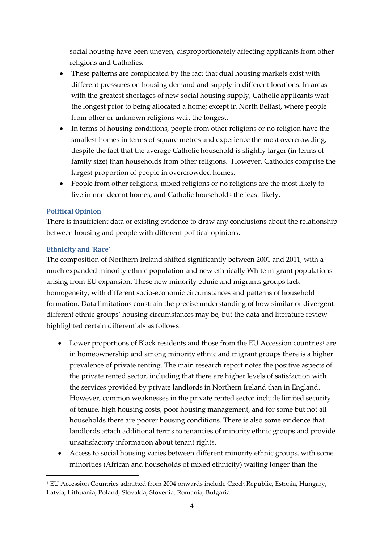social housing have been uneven, disproportionately affecting applicants from other religions and Catholics.

- These patterns are complicated by the fact that dual housing markets exist with different pressures on housing demand and supply in different locations. In areas with the greatest shortages of new social housing supply, Catholic applicants wait the longest prior to being allocated a home; except in North Belfast, where people from other or unknown religions wait the longest.
- In terms of housing conditions, people from other religions or no religion have the smallest homes in terms of square metres and experience the most overcrowding, despite the fact that the average Catholic household is slightly larger (in terms of family size) than households from other religions. However, Catholics comprise the largest proportion of people in overcrowded homes.
- People from other religions, mixed religions or no religions are the most likely to live in non-decent homes, and Catholic households the least likely.

#### **Political Opinion**

There is insufficient data or existing evidence to draw any conclusions about the relationship between housing and people with different political opinions.

#### **Ethnicity and 'Race'**

-

The composition of Northern Ireland shifted significantly between 2001 and 2011, with a much expanded minority ethnic population and new ethnically White migrant populations arising from EU expansion. These new minority ethnic and migrants groups lack homogeneity, with different socio-economic circumstances and patterns of household formation. Data limitations constrain the precise understanding of how similar or divergent different ethnic groups' housing circumstances may be, but the data and literature review highlighted certain differentials as follows:

- Lower proportions of Black residents and those from the EU Accession countries<sup>1</sup> are in homeownership and among minority ethnic and migrant groups there is a higher prevalence of private renting. The main research report notes the positive aspects of the private rented sector, including that there are higher levels of satisfaction with the services provided by private landlords in Northern Ireland than in England. However, common weaknesses in the private rented sector include limited security of tenure, high housing costs, poor housing management, and for some but not all households there are poorer housing conditions. There is also some evidence that landlords attach additional terms to tenancies of minority ethnic groups and provide unsatisfactory information about tenant rights.
- Access to social housing varies between different minority ethnic groups, with some minorities (African and households of mixed ethnicity) waiting longer than the

<sup>1</sup> EU Accession Countries admitted from 2004 onwards include Czech Republic, Estonia, Hungary, Latvia, Lithuania, Poland, Slovakia, Slovenia, Romania, Bulgaria.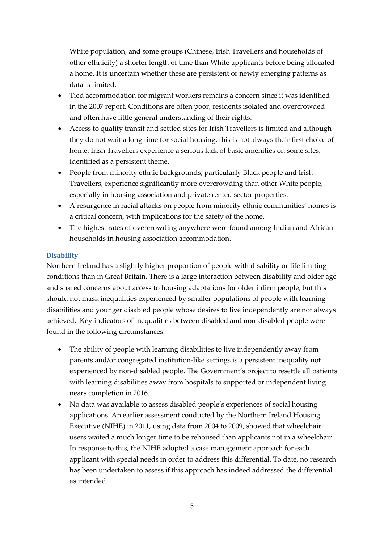White population, and some groups (Chinese, Irish Travellers and households of other ethnicity) a shorter length of time than White applicants before being allocated a home. It is uncertain whether these are persistent or newly emerging patterns as data is limited.

- Tied accommodation for migrant workers remains a concern since it was identified in the 2007 report. Conditions are often poor, residents isolated and overcrowded and often have little general understanding of their rights.
- Access to quality transit and settled sites for Irish Travellers is limited and although they do not wait a long time for social housing, this is not always their first choice of home. Irish Travellers experience a serious lack of basic amenities on some sites, identified as a persistent theme.
- People from minority ethnic backgrounds, particularly Black people and Irish Travellers, experience significantly more overcrowding than other White people, especially in housing association and private rented sector properties.
- A resurgence in racial attacks on people from minority ethnic communities' homes is a critical concern, with implications for the safety of the home.
- The highest rates of overcrowding anywhere were found among Indian and African households in housing association accommodation.

#### **Disability**

Northern Ireland has a slightly higher proportion of people with disability or life limiting conditions than in Great Britain. There is a large interaction between disability and older age and shared concerns about access to housing adaptations for older infirm people, but this should not mask inequalities experienced by smaller populations of people with learning disabilities and younger disabled people whose desires to live independently are not always achieved. Key indicators of inequalities between disabled and non-disabled people were found in the following circumstances:

- The ability of people with learning disabilities to live independently away from parents and/or congregated institution-like settings is a persistent inequality not experienced by non-disabled people. The Government's project to resettle all patients with learning disabilities away from hospitals to supported or independent living nears completion in 2016.
- No data was available to assess disabled people's experiences of social housing applications. An earlier assessment conducted by the Northern Ireland Housing Executive (NIHE) in 2011, using data from 2004 to 2009, showed that wheelchair users waited a much longer time to be rehoused than applicants not in a wheelchair. In response to this, the NIHE adopted a case management approach for each applicant with special needs in order to address this differential. To date, no research has been undertaken to assess if this approach has indeed addressed the differential as intended.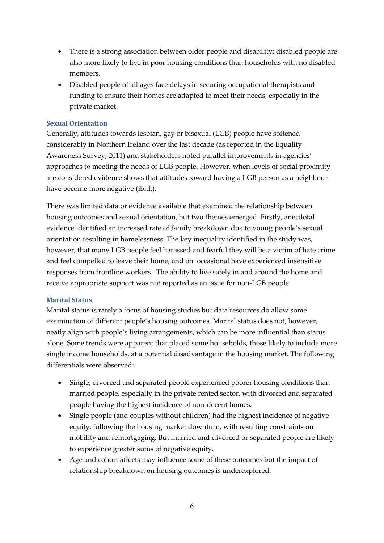- There is a strong association between older people and disability; disabled people are also more likely to live in poor housing conditions than households with no disabled members.
- Disabled people of all ages face delays in securing occupational therapists and funding to ensure their homes are adapted to meet their needs, especially in the private market.

#### **Sexual Orientation**

Generally, attitudes towards lesbian, gay or bisexual (LGB) people have softened considerably in Northern Ireland over the last decade (as reported in the Equality Awareness Survey, 2011) and stakeholders noted parallel improvements in agencies' approaches to meeting the needs of LGB people. However, when levels of social proximity are considered evidence shows that attitudes toward having a LGB person as a neighbour have become more negative (ibid.).

There was limited data or evidence available that examined the relationship between housing outcomes and sexual orientation, but two themes emerged. Firstly, anecdotal evidence identified an increased rate of family breakdown due to young people's sexual orientation resulting in homelessness. The key inequality identified in the study was, however, that many LGB people feel harassed and fearful they will be a victim of hate crime and feel compelled to leave their home, and on occasional have experienced insensitive responses from frontline workers. The ability to live safely in and around the home and receive appropriate support was not reported as an issue for non-LGB people.

#### **Marital Status**

Marital status is rarely a focus of housing studies but data resources do allow some examination of different people's housing outcomes. Marital status does not, however, neatly align with people's living arrangements, which can be more influential than status alone. Some trends were apparent that placed some households, those likely to include more single income households, at a potential disadvantage in the housing market. The following differentials were observed:

- Single, divorced and separated people experienced poorer housing conditions than married people, especially in the private rented sector, with divorced and separated people having the highest incidence of non-decent homes.
- Single people (and couples without children) had the highest incidence of negative equity, following the housing market downturn, with resulting constraints on mobility and remortgaging. But married and divorced or separated people are likely to experience greater sums of negative equity.
- Age and cohort affects may influence some of these outcomes but the impact of relationship breakdown on housing outcomes is underexplored.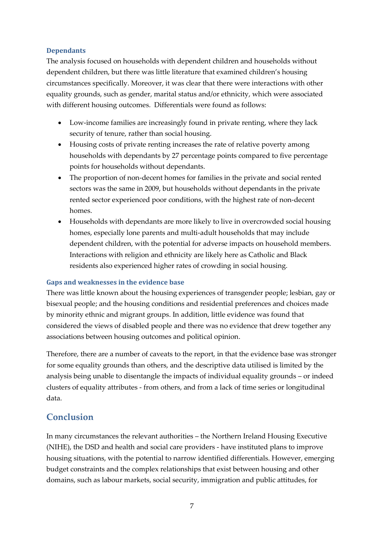#### **Dependants**

The analysis focused on households with dependent children and households without dependent children, but there was little literature that examined children's housing circumstances specifically. Moreover, it was clear that there were interactions with other equality grounds, such as gender, marital status and/or ethnicity, which were associated with different housing outcomes. Differentials were found as follows:

- Low-income families are increasingly found in private renting, where they lack security of tenure, rather than social housing.
- Housing costs of private renting increases the rate of relative poverty among households with dependants by 27 percentage points compared to five percentage points for households without dependants.
- The proportion of non-decent homes for families in the private and social rented sectors was the same in 2009, but households without dependants in the private rented sector experienced poor conditions, with the highest rate of non-decent homes.
- Households with dependants are more likely to live in overcrowded social housing homes, especially lone parents and multi-adult households that may include dependent children, with the potential for adverse impacts on household members. Interactions with religion and ethnicity are likely here as Catholic and Black residents also experienced higher rates of crowding in social housing.

#### **Gaps and weaknesses in the evidence base**

There was little known about the housing experiences of transgender people; lesbian, gay or bisexual people; and the housing conditions and residential preferences and choices made by minority ethnic and migrant groups. In addition, little evidence was found that considered the views of disabled people and there was no evidence that drew together any associations between housing outcomes and political opinion.

Therefore, there are a number of caveats to the report, in that the evidence base was stronger for some equality grounds than others, and the descriptive data utilised is limited by the analysis being unable to disentangle the impacts of individual equality grounds – or indeed clusters of equality attributes - from others, and from a lack of time series or longitudinal data.

### **Conclusion**

In many circumstances the relevant authorities – the Northern Ireland Housing Executive (NIHE), the DSD and health and social care providers - have instituted plans to improve housing situations, with the potential to narrow identified differentials. However, emerging budget constraints and the complex relationships that exist between housing and other domains, such as labour markets, social security, immigration and public attitudes, for